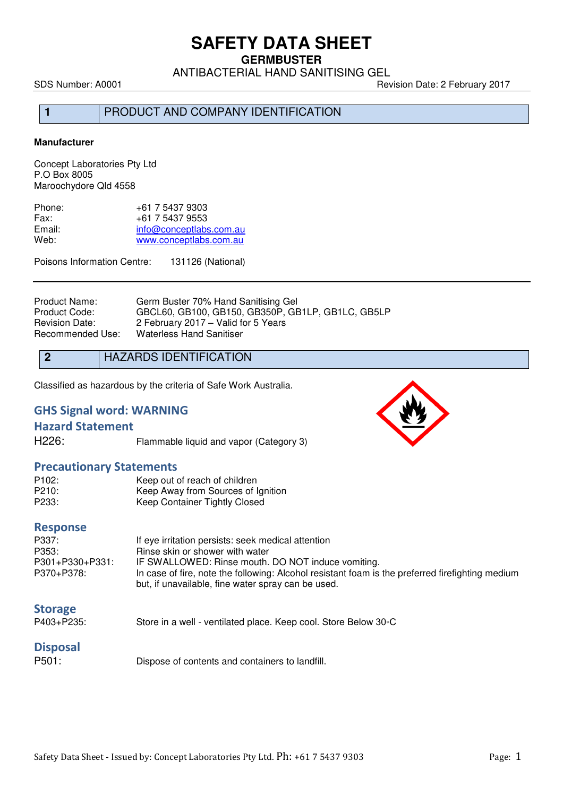**GERMBUSTER** 

ANTIBACTERIAL HAND SANITISING GEL

SDS Number: A0001 Revision Date: 2 February 2017

1 PRODUCT AND COMPANY IDENTIFICATION

#### **Manufacturer**

Concept Laboratories Pty Ltd P.O Box 8005 Maroochydore Qld 4558

| Phone: | +61 7 5437 9303         |
|--------|-------------------------|
| Fax:   | +61 7 5437 9553         |
| Email: | info@conceptlabs.com.au |
| Web:   | www.conceptlabs.com.au  |
|        |                         |

Poisons Information Centre: 131126 (National)

Product Name: Germ Buster 70% Hand Sanitising Gel<br>Product Code: GBCL60, GB100, GB150, GB350P, GB Product Code: GBCL60, GB100, GB150, GB350P, GB1LP, GB1LC, GB5LP<br>Revision Date: 2 February 2017 – Valid for 5 Years 2 February 2017 – Valid for 5 Years Recommended Use: Waterless Hand Sanitiser

**2** HAZARDS IDENTIFICATION

Classified as hazardous by the criteria of Safe Work Australia.

## **GHS Signal word: WARNING**

### **Hazard Statement**

H226: Flammable liquid and vapor (Category 3)

#### **Precautionary Statements**

| P <sub>102</sub> : | Keep out of reach of children      |
|--------------------|------------------------------------|
| P210:              | Keep Away from Sources of Ignition |
| P233:              | Keep Container Tightly Closed      |

#### **Response**

| P337:           | If eye irritation persists: seek medical attention                                               |
|-----------------|--------------------------------------------------------------------------------------------------|
| P353:           | Rinse skin or shower with water                                                                  |
| P301+P330+P331: | IF SWALLOWED: Rinse mouth. DO NOT induce vomiting.                                               |
| P370+P378:      | In case of fire, note the following: Alcohol resistant foam is the preferred firefighting medium |
|                 | but, if unavailable, fine water spray can be used.                                               |

### **Storage**

P403+P235: Store in a well - ventilated place. Keep cool. Store Below 30◦C

## **Disposal**

P501: Dispose of contents and containers to landfill.

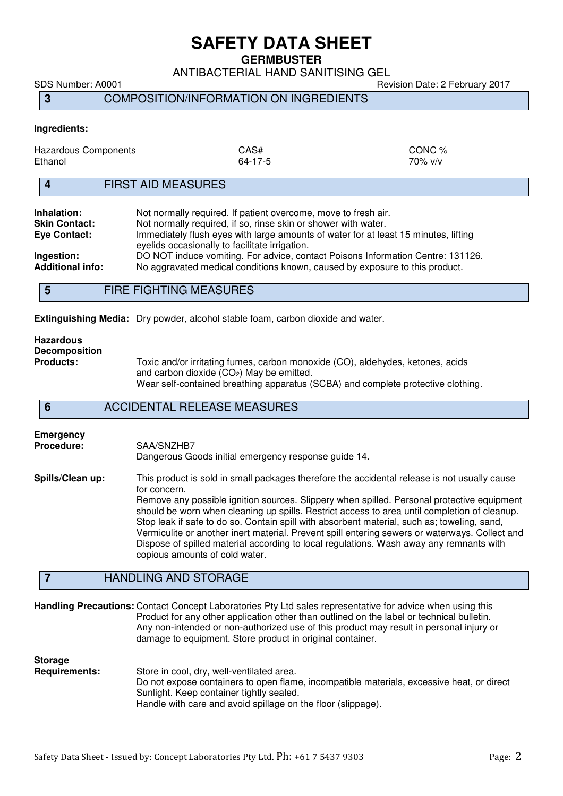**GERMBUSTER** 

ANTIBACTERIAL HAND SANITISING GEL

SDS Number: A0001 Revision Date: 2 February 2017

# **3** COMPOSITION/INFORMATION ON INGREDIENTS

#### **Ingredients:**

| Hazardous Components<br>Ethanol                     | CAS#<br>64-17-5                                                                                                                                                                                                  | CONC %<br>$70\%$ v/v                                                                                                                                                                                                    |  |
|-----------------------------------------------------|------------------------------------------------------------------------------------------------------------------------------------------------------------------------------------------------------------------|-------------------------------------------------------------------------------------------------------------------------------------------------------------------------------------------------------------------------|--|
|                                                     | <b>FIRST AID MEASURES</b>                                                                                                                                                                                        |                                                                                                                                                                                                                         |  |
| Inhalation:<br><b>Skin Contact:</b><br>Eye Contact: |                                                                                                                                                                                                                  | Not normally required. If patient overcome, move to fresh air.<br>Not normally required, if so, rinse skin or shower with water.<br>Immediately flush eyes with large amounts of water for at least 15 minutes, lifting |  |
| Ingestion:<br><b>Additional info:</b>               | eyelids occasionally to facilitate irrigation.<br>DO NOT induce vomiting. For advice, contact Poisons Information Centre: 131126.<br>No aggravated medical conditions known, caused by exposure to this product. |                                                                                                                                                                                                                         |  |
|                                                     | _________________________                                                                                                                                                                                        |                                                                                                                                                                                                                         |  |

**5** FIRE FIGHTING MEASURES

**Extinguishing Media:** Dry powder, alcohol stable foam, carbon dioxide and water.

# **Hazardous Decomposition**

Toxic and/or irritating fumes, carbon monoxide (CO), aldehydes, ketones, acids and carbon dioxide  $(CO<sub>2</sub>)$  May be emitted. Wear self-contained breathing apparatus (SCBA) and complete protective clothing.

### **6** ACCIDENTAL RELEASE MEASURES

# **Emergency**  Procedure: SAA/SNZHB7 Dangerous Goods initial emergency response guide 14. **Spills/Clean up:** This product is sold in small packages therefore the accidental release is not usually cause for concern. Remove any possible ignition sources. Slippery when spilled. Personal protective equipment should be worn when cleaning up spills. Restrict access to area until completion of cleanup.

Stop leak if safe to do so. Contain spill with absorbent material, such as; toweling, sand, Vermiculite or another inert material. Prevent spill entering sewers or waterways. Collect and Dispose of spilled material according to local regulations. Wash away any remnants with copious amounts of cold water.

## **7** HANDLING AND STORAGE

**Handling Precautions:** Contact Concept Laboratories Pty Ltd sales representative for advice when using this Product for any other application other than outlined on the label or technical bulletin. Any non-intended or non-authorized use of this product may result in personal injury or damage to equipment. Store product in original container.

#### **Storage**

**Requirements:** Store in cool, dry, well-ventilated area. Do not expose containers to open flame, incompatible materials, excessive heat, or direct Sunlight. Keep container tightly sealed.

Handle with care and avoid spillage on the floor (slippage).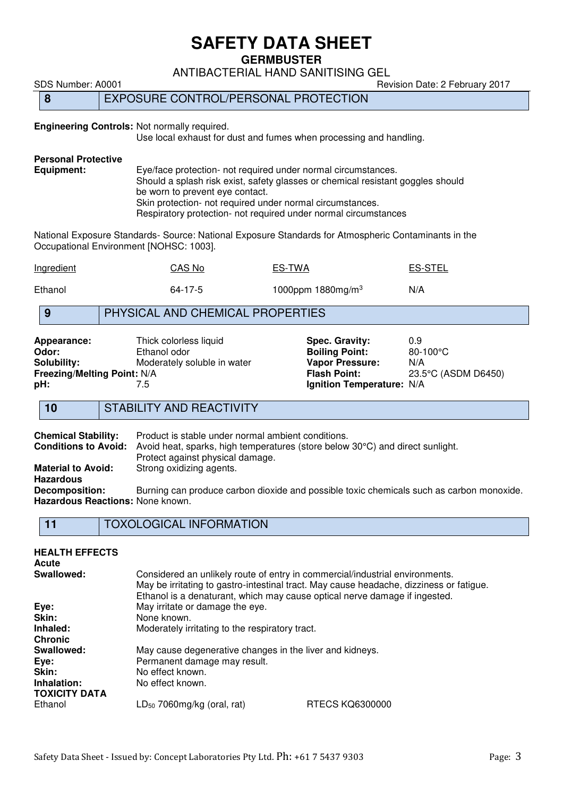**GERMBUSTER** 

ANTIBACTERIAL HAND SANITISING GEL

SDS Number: A0001 80001 Revision Date: 2 February 2017

## **8** EXPOSURE CONTROL/PERSONAL PROTECTION

### **Engineering Controls:** Not normally required.

Use local exhaust for dust and fumes when processing and handling.

# **Personal Protective**

Eye/face protection- not required under normal circumstances. Should a splash risk exist, safety glasses or chemical resistant goggles should be worn to prevent eye contact. Skin protection- not required under normal circumstances. Respiratory protection- not required under normal circumstances

National Exposure Standards- Source: National Exposure Standards for Atmospheric Contaminants in the Occupational Environment [NOHSC: 1003].

| Ingredient | CAS No        | <u>ES-TWA</u>                 | <u>ES-STEL</u> |
|------------|---------------|-------------------------------|----------------|
| Ethanol    | $64 - 17 - 5$ | 1000ppm 1880mg/m <sup>3</sup> | N/A            |

## **9** PHYSICAL AND CHEMICAL PROPERTIES

| Appearance:                 | Thick colorless liquid      |
|-----------------------------|-----------------------------|
| Odor:                       | Ethanol odor                |
| Solubility:                 | Moderately soluble in water |
| Freezing/Melting Point: N/A |                             |
| pH:                         | 7.5                         |

**Appec. Gravity:** 0.9<br> **Apply 1.99 Digits Color** S0-100°C **Boiling Point: Vapor Pressure:** N/A<br>**Flash Point:** 23.5 **Freezing/Melting Point:** N/A **Flash Point:** 23.5°C (ASDM D6450) **lgnition Temperature: N/A** 

## **10** STABILITY AND REACTIVITY

**Chemical Stability:** Product is stable under normal ambient conditions.<br>**Conditions to Avoid:** Avoid heat, sparks, high temperatures (store below Avoid heat, sparks, high temperatures (store below 30°C) and direct sunlight. Protect against physical damage. **Material to Avoid:** Strong oxidizing agents. **Hazardous Decomposition:** Burning can produce carbon dioxide and possible toxic chemicals such as carbon monoxide. **Hazardous Reactions:** None known.

**11** TOXOLOGICAL INFORMATION

| <b>HEALTH EFFECTS</b><br><b>Acute</b> |                                                                                                                                                            |                                                                                         |
|---------------------------------------|------------------------------------------------------------------------------------------------------------------------------------------------------------|-----------------------------------------------------------------------------------------|
| Swallowed:                            | Considered an unlikely route of entry in commercial/industrial environments.<br>Ethanol is a denaturant, which may cause optical nerve damage if ingested. | May be irritating to gastro-intestinal tract. May cause headache, dizziness or fatigue. |
| Eye:                                  | May irritate or damage the eye.                                                                                                                            |                                                                                         |
| Skin:                                 | None known.                                                                                                                                                |                                                                                         |
| Inhaled:                              | Moderately irritating to the respiratory tract.                                                                                                            |                                                                                         |
| <b>Chronic</b>                        |                                                                                                                                                            |                                                                                         |
| Swallowed:                            | May cause degenerative changes in the liver and kidneys.                                                                                                   |                                                                                         |
| Eye:                                  | Permanent damage may result.                                                                                                                               |                                                                                         |
| Skin:                                 | No effect known.                                                                                                                                           |                                                                                         |
| Inhalation:<br><b>TOXICITY DATA</b>   | No effect known.                                                                                                                                           |                                                                                         |
| Ethanol                               | $LD_{50}$ 7060mg/kg (oral, rat)                                                                                                                            | RTECS KQ6300000                                                                         |